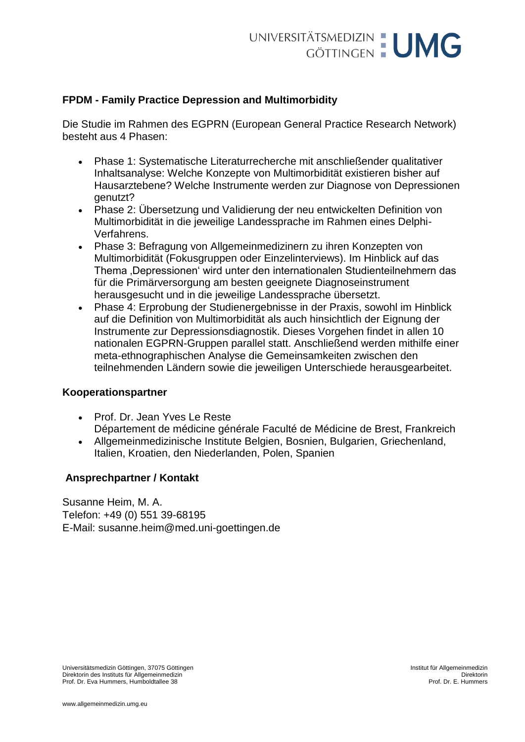# **FPDM - Family Practice Depression and Multimorbidity**

Die Studie im Rahmen des EGPRN (European General Practice Research Network) besteht aus 4 Phasen:

- Phase 1: Systematische Literaturrecherche mit anschließender qualitativer Inhaltsanalyse: Welche Konzepte von Multimorbidität existieren bisher auf Hausarztebene? Welche Instrumente werden zur Diagnose von Depressionen genutzt?
- Phase 2: Übersetzung und Validierung der neu entwickelten Definition von Multimorbidität in die jeweilige Landessprache im Rahmen eines Delphi-Verfahrens.
- Phase 3: Befragung von Allgemeinmedizinern zu ihren Konzepten von Multimorbidität (Fokusgruppen oder Einzelinterviews). Im Hinblick auf das Thema ,Depressionen' wird unter den internationalen Studienteilnehmern das für die Primärversorgung am besten geeignete Diagnoseinstrument herausgesucht und in die jeweilige Landessprache übersetzt.
- Phase 4: Erprobung der Studienergebnisse in der Praxis, sowohl im Hinblick auf die Definition von Multimorbidität als auch hinsichtlich der Eignung der Instrumente zur Depressionsdiagnostik. Dieses Vorgehen findet in allen 10 nationalen EGPRN-Gruppen parallel statt. Anschließend werden mithilfe einer meta-ethnographischen Analyse die Gemeinsamkeiten zwischen den teilnehmenden Ländern sowie die jeweiligen Unterschiede herausgearbeitet.

# **Kooperationspartner**

- Prof. Dr. Jean Yves Le Reste Département de médicine générale Faculté de Médicine de Brest, Frankreich
- Allgemeinmedizinische Institute Belgien, Bosnien, Bulgarien, Griechenland, Italien, Kroatien, den Niederlanden, Polen, Spanien

## **Ansprechpartner / Kontakt**

Susanne Heim, M. A. Telefon: +49 (0) 551 39-68195 E-Mail: [susanne.heim@med.uni-goettingen.de](mailto:susanne.heim@med.uni-goettingen.de)

Universitätsmedizin Göttingen, 37075 Göttingen Institut für Allgemeinmedizin Direktorin des Instituts für Allgemeinmedizin Prof. Dr. Eva Hummers, Humboldtallee 38